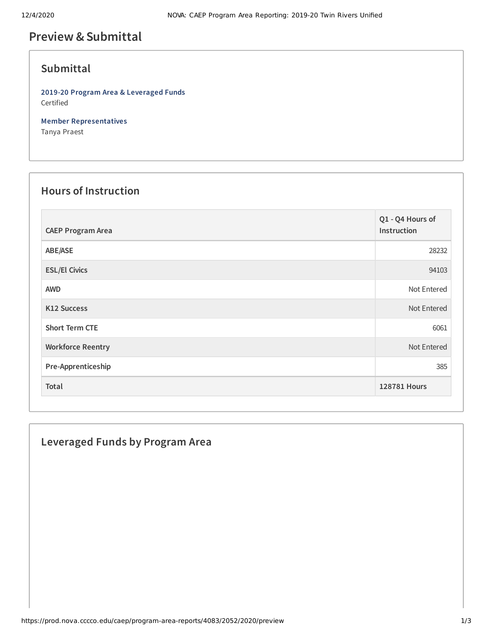# **Preview &Submittal**

# **Submittal**

**2019-20 Program Area & Leveraged Funds** Certified

**Member Representatives** Tanya Praest

#### **Hours of Instruction**

| <b>CAEP Program Area</b> | Q1 - Q4 Hours of<br>Instruction |
|--------------------------|---------------------------------|
| ABE/ASE                  | 28232                           |
| <b>ESL/El Civics</b>     | 94103                           |
| <b>AWD</b>               | Not Entered                     |
| <b>K12 Success</b>       | Not Entered                     |
| <b>Short Term CTE</b>    | 6061                            |
| <b>Workforce Reentry</b> | Not Entered                     |
| Pre-Apprenticeship       | 385                             |
| Total                    | 128781 Hours                    |

### **Leveraged Funds by Program Area**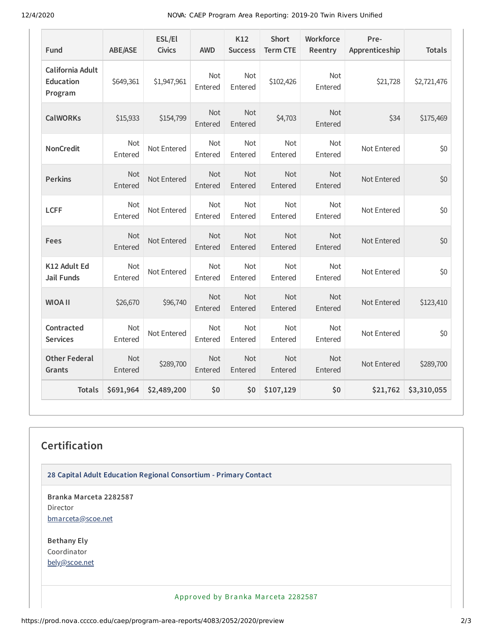12/4/2020 NOVA: CAEP Program Area Reporting: 2019-20 Twin Rivers Unified

| Fund                                            | <b>ABE/ASE</b>        | ESL/El<br><b>Civics</b> | <b>AWD</b>            | K12<br><b>Success</b> | <b>Short</b><br><b>Term CTE</b> | Workforce<br>Reentry  | Pre-<br>Apprenticeship | <b>Totals</b> |
|-------------------------------------------------|-----------------------|-------------------------|-----------------------|-----------------------|---------------------------------|-----------------------|------------------------|---------------|
| California Adult<br><b>Education</b><br>Program | \$649,361             | \$1,947,961             | <b>Not</b><br>Entered | <b>Not</b><br>Entered | \$102,426                       | Not<br>Entered        | \$21,728               | \$2,721,476   |
| <b>CalWORKs</b>                                 | \$15,933              | \$154,799               | Not<br>Entered        | <b>Not</b><br>Entered | \$4,703                         | Not<br>Entered        | \$34                   | \$175,469     |
| <b>NonCredit</b>                                | Not<br>Entered        | Not Entered             | Not<br>Entered        | <b>Not</b><br>Entered | Not<br>Entered                  | <b>Not</b><br>Entered | Not Entered            | \$0           |
| <b>Perkins</b>                                  | <b>Not</b><br>Entered | Not Entered             | <b>Not</b><br>Entered | <b>Not</b><br>Entered | Not<br>Entered                  | <b>Not</b><br>Entered | Not Entered            | \$0           |
| <b>LCFF</b>                                     | Not<br>Entered        | Not Entered             | Not<br>Entered        | Not<br>Entered        | Not<br>Entered                  | Not<br>Entered        | Not Entered            | \$0           |
| Fees                                            | <b>Not</b><br>Entered | Not Entered             | <b>Not</b><br>Entered | <b>Not</b><br>Entered | <b>Not</b><br>Entered           | <b>Not</b><br>Entered | Not Entered            | \$0           |
| K12 Adult Ed<br><b>Jail Funds</b>               | <b>Not</b><br>Entered | Not Entered             | <b>Not</b><br>Entered | <b>Not</b><br>Entered | Not<br>Entered                  | <b>Not</b><br>Entered | Not Entered            | \$0           |
| <b>WIOA II</b>                                  | \$26,670              | \$96,740                | Not<br>Entered        | <b>Not</b><br>Entered | <b>Not</b><br>Entered           | <b>Not</b><br>Entered | Not Entered            | \$123,410     |
| Contracted<br><b>Services</b>                   | Not<br>Entered        | Not Entered             | Not<br>Entered        | Not<br>Entered        | Not<br>Entered                  | Not<br>Entered        | Not Entered            | \$0           |
| <b>Other Federal</b><br>Grants                  | <b>Not</b><br>Entered | \$289,700               | Not<br>Entered        | <b>Not</b><br>Entered | <b>Not</b><br>Entered           | <b>Not</b><br>Entered | Not Entered            | \$289,700     |
| <b>Totals</b>                                   | \$691,964             | \$2,489,200             | \$0                   | \$0                   | \$107,129                       | \$0                   | \$21,762               | \$3,310,055   |

# **Certification**

**28 Capital Adult Education Regional Consortium - Primary Contact**

**Branka Marceta 2282587** Director [bmarceta@scoe.net](mailto:bmarceta@scoe.net)

**Bethany Ely** Coordinator [bely@scoe.net](mailto:bely@scoe.net)

Approved by Branka Marceta 2282587